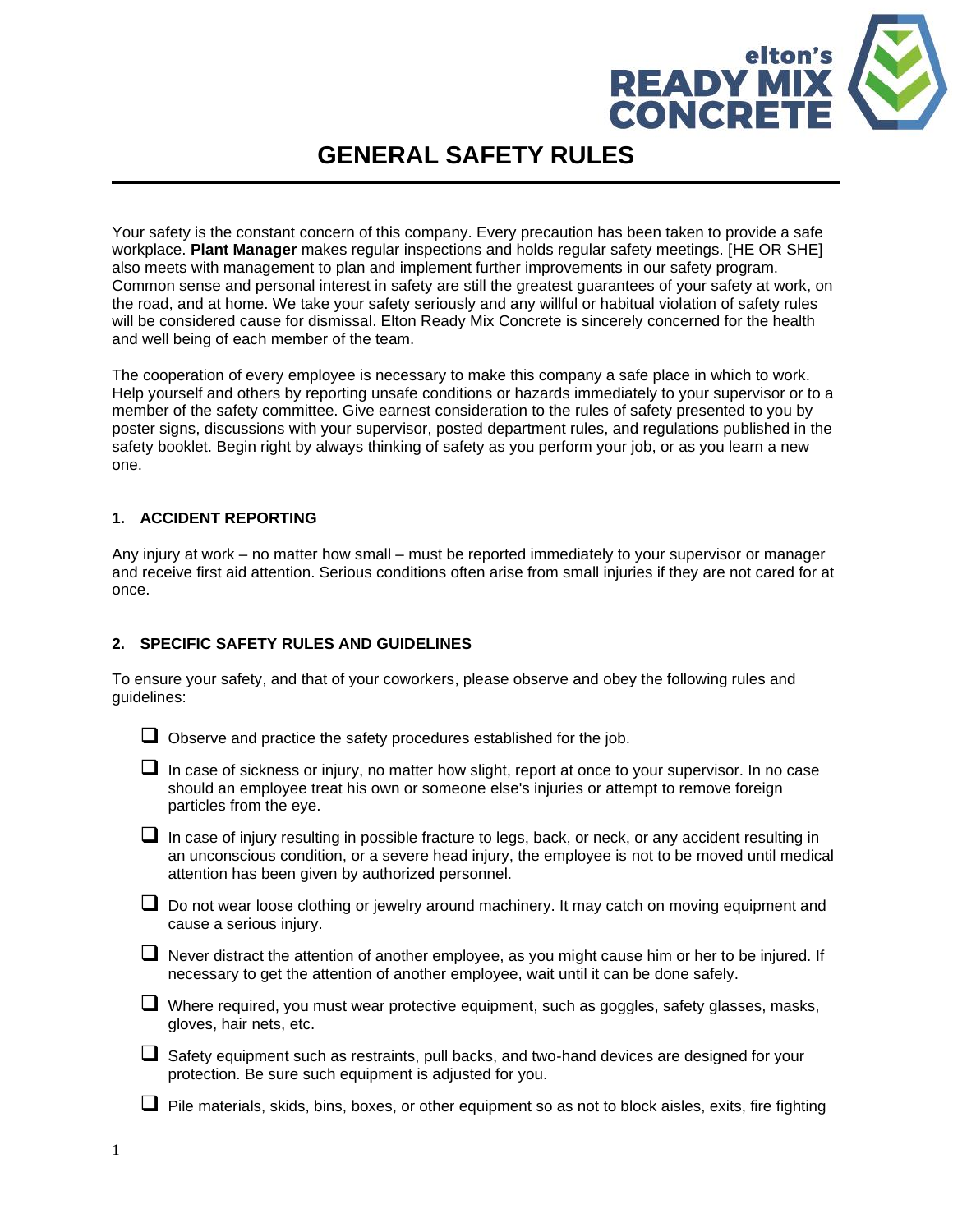

# **GENERAL SAFETY RULES**

Your safety is the constant concern of this company. Every precaution has been taken to provide a safe workplace. **Plant Manager** makes regular inspections and holds regular safety meetings. [HE OR SHE] also meets with management to plan and implement further improvements in our safety program. Common sense and personal interest in safety are still the greatest guarantees of your safety at work, on the road, and at home. We take your safety seriously and any willful or habitual violation of safety rules will be considered cause for dismissal. Elton Ready Mix Concrete is sincerely concerned for the health and well being of each member of the team.

The cooperation of every employee is necessary to make this company a safe place in which to work. Help yourself and others by reporting unsafe conditions or hazards immediately to your supervisor or to a member of the safety committee. Give earnest consideration to the rules of safety presented to you by poster signs, discussions with your supervisor, posted department rules, and regulations published in the safety booklet. Begin right by always thinking of safety as you perform your job, or as you learn a new one.

#### **1. ACCIDENT REPORTING**

Any injury at work – no matter how small – must be reported immediately to your supervisor or manager and receive first aid attention. Serious conditions often arise from small injuries if they are not cared for at once.

#### **2. SPECIFIC SAFETY RULES AND GUIDELINES**

To ensure your safety, and that of your coworkers, please observe and obey the following rules and guidelines:

■ Observe and practice the safety procedures established for the job.

| $\Box$ In case of sickness or injury, no matter how slight, report at once to your supervisor. In no case |
|-----------------------------------------------------------------------------------------------------------|
| should an employee treat his own or someone else's injuries or attempt to remove foreign                  |
| particles from the eye.                                                                                   |

 $\Box$  In case of injury resulting in possible fracture to legs, back, or neck, or any accident resulting in an unconscious condition, or a severe head injury, the employee is not to be moved until medical attention has been given by authorized personnel.

□ Do not wear loose clothing or jewelry around machinery. It may catch on moving equipment and cause a serious injury.

❑ Never distract the attention of another employee, as you might cause him or her to be injured. If necessary to get the attention of another employee, wait until it can be done safely.

❑ Where required, you must wear protective equipment, such as goggles, safety glasses, masks, gloves, hair nets, etc.

❑ Safety equipment such as restraints, pull backs, and two-hand devices are designed for your protection. Be sure such equipment is adjusted for you.

 $\Box$  Pile materials, skids, bins, boxes, or other equipment so as not to block aisles, exits, fire fighting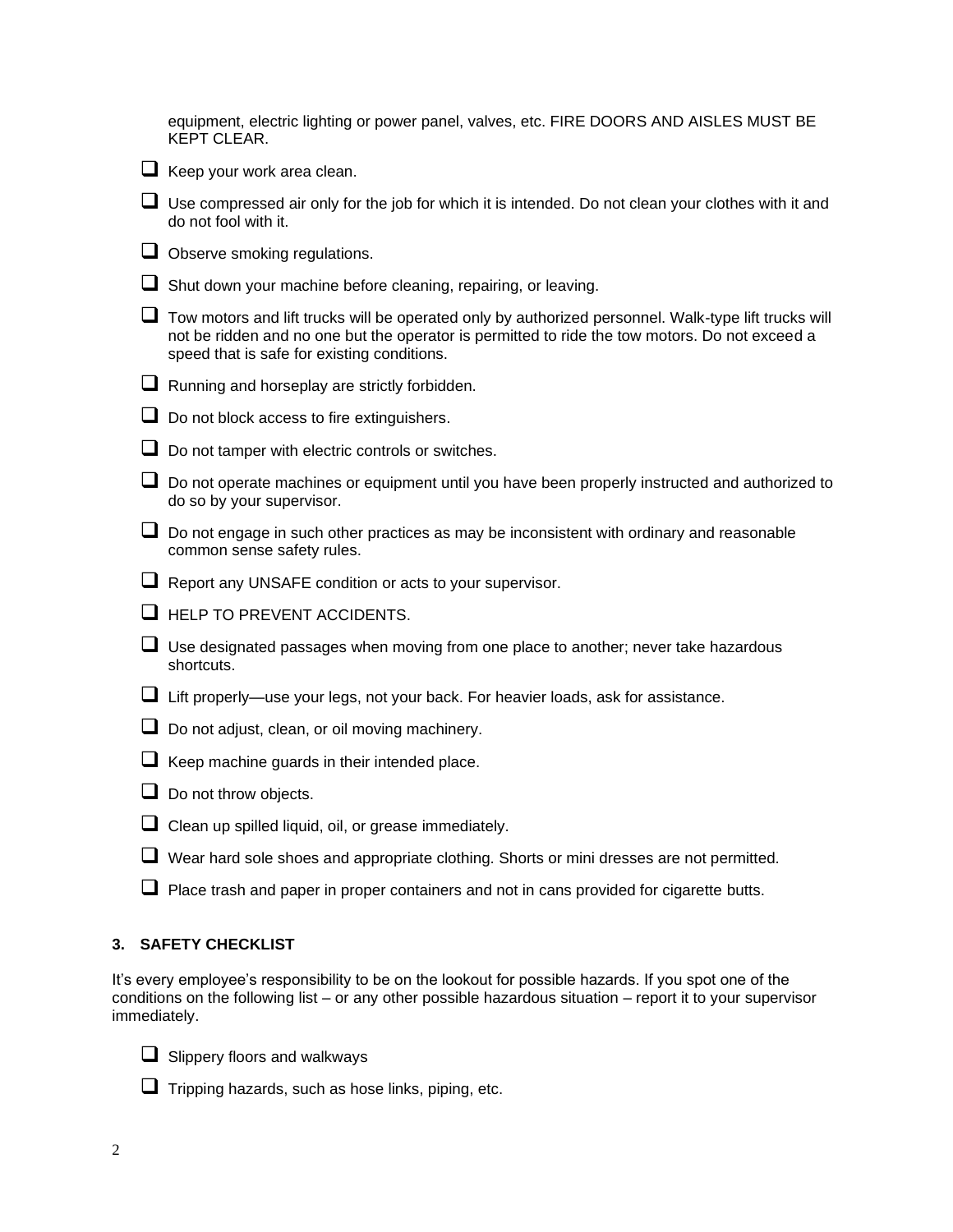|   | equipment, electric lighting or power panel, valves, etc. FIRE DOORS AND AISLES MUST BE<br><b>KEPT CLEAR.</b>                                                                                                                                         |
|---|-------------------------------------------------------------------------------------------------------------------------------------------------------------------------------------------------------------------------------------------------------|
|   | $\Box$ Keep your work area clean.                                                                                                                                                                                                                     |
|   | Use compressed air only for the job for which it is intended. Do not clean your clothes with it and<br>do not fool with it.                                                                                                                           |
|   | $\Box$ Observe smoking regulations.                                                                                                                                                                                                                   |
|   | Shut down your machine before cleaning, repairing, or leaving.                                                                                                                                                                                        |
|   | Tow motors and lift trucks will be operated only by authorized personnel. Walk-type lift trucks will<br>not be ridden and no one but the operator is permitted to ride the tow motors. Do not exceed a<br>speed that is safe for existing conditions. |
|   | $\Box$ Running and horseplay are strictly forbidden.                                                                                                                                                                                                  |
|   | Do not block access to fire extinguishers.                                                                                                                                                                                                            |
|   | $\Box$ Do not tamper with electric controls or switches.                                                                                                                                                                                              |
|   | Do not operate machines or equipment until you have been properly instructed and authorized to<br>do so by your supervisor.                                                                                                                           |
| ⊔ | Do not engage in such other practices as may be inconsistent with ordinary and reasonable<br>common sense safety rules.                                                                                                                               |
|   | Report any UNSAFE condition or acts to your supervisor.                                                                                                                                                                                               |
|   | $\Box$ HELP TO PREVENT ACCIDENTS.                                                                                                                                                                                                                     |
|   | Use designated passages when moving from one place to another; never take hazardous<br>shortcuts.                                                                                                                                                     |
|   | Lift properly—use your legs, not your back. For heavier loads, ask for assistance.                                                                                                                                                                    |

- □ Do not adjust, clean, or oil moving machinery.
- ❑ Keep machine guards in their intended place.
- ❑ Do not throw objects.
- □ Clean up spilled liquid, oil, or grease immediately.
- ❑ Wear hard sole shoes and appropriate clothing. Shorts or mini dresses are not permitted.
- $\Box$  Place trash and paper in proper containers and not in cans provided for cigarette butts.

# **3. SAFETY CHECKLIST**

It's every employee's responsibility to be on the lookout for possible hazards. If you spot one of the conditions on the following list – or any other possible hazardous situation – report it to your supervisor immediately.



- ❑ Slippery floors and walkways
- $\Box$  Tripping hazards, such as hose links, piping, etc.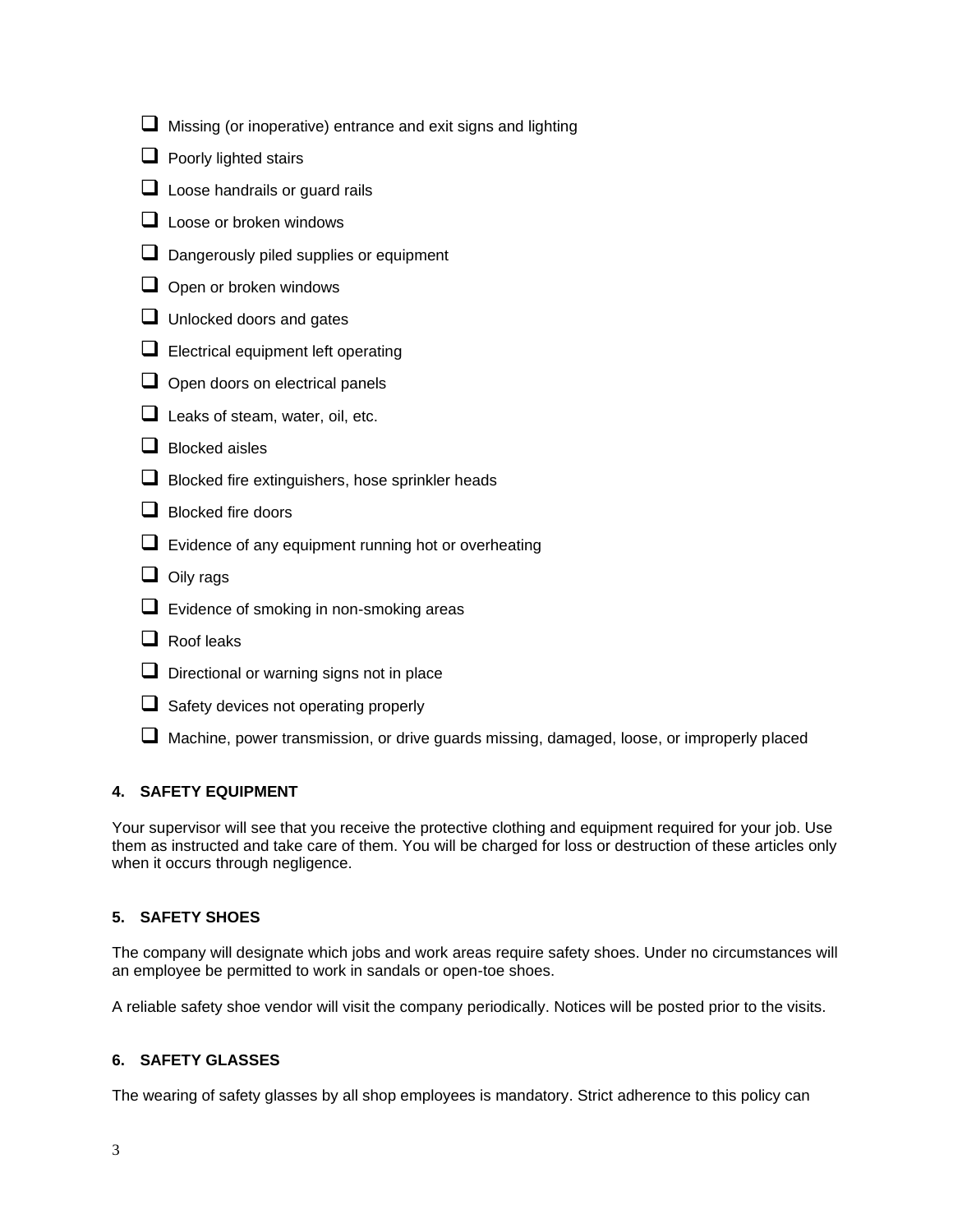|   | Missing (or inoperative) entrance and exit signs and lighting                              |
|---|--------------------------------------------------------------------------------------------|
|   | Poorly lighted stairs                                                                      |
| ⊔ | Loose handrails or guard rails                                                             |
|   | Loose or broken windows                                                                    |
|   | Dangerously piled supplies or equipment                                                    |
|   | Open or broken windows                                                                     |
|   | Unlocked doors and gates                                                                   |
|   | $\Box$ Electrical equipment left operating                                                 |
|   | Open doors on electrical panels                                                            |
|   | $\Box$ Leaks of steam, water, oil, etc.                                                    |
|   | <b>Blocked aisles</b>                                                                      |
|   | Blocked fire extinguishers, hose sprinkler heads                                           |
|   | <b>Blocked fire doors</b>                                                                  |
|   | Evidence of any equipment running hot or overheating                                       |
|   | Oily rags                                                                                  |
|   | Evidence of smoking in non-smoking areas                                                   |
|   | Roof leaks                                                                                 |
|   | Directional or warning signs not in place                                                  |
|   | Safety devices not operating properly                                                      |
|   | Machine, power transmission, or drive quards missing, damaged, loose, or improperly placed |

## **4. SAFETY EQUIPMENT**

Your supervisor will see that you receive the protective clothing and equipment required for your job. Use them as instructed and take care of them. You will be charged for loss or destruction of these articles only when it occurs through negligence.

## **5. SAFETY SHOES**

The company will designate which jobs and work areas require safety shoes. Under no circumstances will an employee be permitted to work in sandals or open-toe shoes.

A reliable safety shoe vendor will visit the company periodically. Notices will be posted prior to the visits.

## **6. SAFETY GLASSES**

The wearing of safety glasses by all shop employees is mandatory. Strict adherence to this policy can